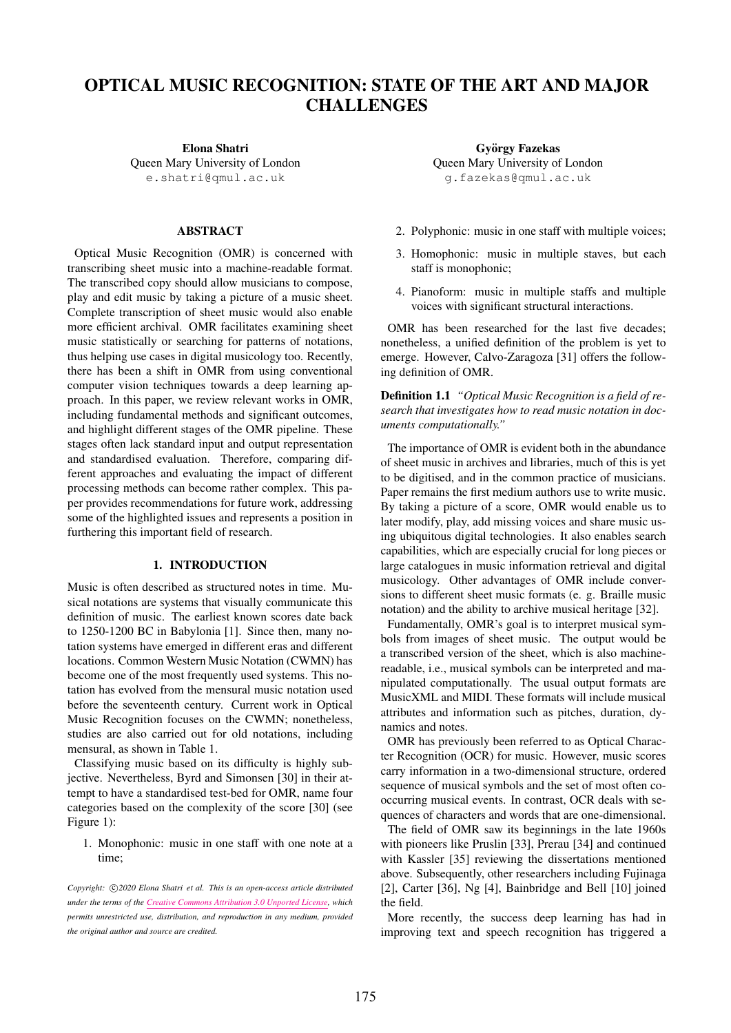# OPTICAL MUSIC RECOGNITION: STATE OF THE ART AND MAJOR **CHALLENGES**

Elona Shatri

Queen Mary University of London [e.shatri@qmul.ac.uk](mailto:e.shatri@qmul.ac.uk)

## ABSTRACT

Optical Music Recognition (OMR) is concerned with transcribing sheet music into a machine-readable format. The transcribed copy should allow musicians to compose, play and edit music by taking a picture of a music sheet. Complete transcription of sheet music would also enable more efficient archival. OMR facilitates examining sheet music statistically or searching for patterns of notations, thus helping use cases in digital musicology too. Recently, there has been a shift in OMR from using conventional computer vision techniques towards a deep learning approach. In this paper, we review relevant works in OMR, including fundamental methods and significant outcomes, and highlight different stages of the OMR pipeline. These stages often lack standard input and output representation and standardised evaluation. Therefore, comparing different approaches and evaluating the impact of different processing methods can become rather complex. This paper provides recommendations for future work, addressing some of the highlighted issues and represents a position in furthering this important field of research.

# 1. INTRODUCTION

Music is often described as structured notes in time. Musical notations are systems that visually communicate this definition of music. The earliest known scores date back to 1250-1200 BC in Babylonia [1]. Since then, many notation systems have emerged in different eras and different locations. Common Western Music Notation (CWMN) has become one of the most frequently used systems. This notation has evolved from the mensural music notation used before the seventeenth century. Current work in Optical Music Recognition focuses on the CWMN; nonetheless, studies are also carried out for old notations, including mensural, as shown in Table 1.

Classifying music based on its difficulty is highly subjective. Nevertheless, Byrd and Simonsen [30] in their attempt to have a standardised test-bed for OMR, name four categories based on the complexity of the score [30] (see Figure 1):

1. Monophonic: music in one staff with one note at a time;

Copyright:  $\bigcirc$ 2020 Elona Shatri et al. This is an open-access article distributed *under the terms of the [Creative Commons Attribution 3.0 Unported License,](http://creativecommons.org/licenses/by/3.0/) which permits unrestricted use, distribution, and reproduction in any medium, provided the original author and source are credited.*

György Fazekas Queen Mary University of London [g.fazekas@qmul.ac.uk](mailto:g.fazekas@qmul.ac.uk)

- 2. Polyphonic: music in one staff with multiple voices;
- 3. Homophonic: music in multiple staves, but each staff is monophonic;
- 4. Pianoform: music in multiple staffs and multiple voices with significant structural interactions.

OMR has been researched for the last five decades; nonetheless, a unified definition of the problem is yet to emerge. However, Calvo-Zaragoza [31] offers the following definition of OMR.

Definition 1.1 *"Optical Music Recognition is a field of research that investigates how to read music notation in documents computationally."*

The importance of OMR is evident both in the abundance of sheet music in archives and libraries, much of this is yet to be digitised, and in the common practice of musicians. Paper remains the first medium authors use to write music. By taking a picture of a score, OMR would enable us to later modify, play, add missing voices and share music using ubiquitous digital technologies. It also enables search capabilities, which are especially crucial for long pieces or large catalogues in music information retrieval and digital musicology. Other advantages of OMR include conversions to different sheet music formats (e. g. Braille music notation) and the ability to archive musical heritage [32].

Fundamentally, OMR's goal is to interpret musical symbols from images of sheet music. The output would be a transcribed version of the sheet, which is also machinereadable, i.e., musical symbols can be interpreted and manipulated computationally. The usual output formats are MusicXML and MIDI. These formats will include musical attributes and information such as pitches, duration, dynamics and notes.

OMR has previously been referred to as Optical Character Recognition (OCR) for music. However, music scores carry information in a two-dimensional structure, ordered sequence of musical symbols and the set of most often cooccurring musical events. In contrast, OCR deals with sequences of characters and words that are one-dimensional.

The field of OMR saw its beginnings in the late 1960s with pioneers like Pruslin [33], Prerau [34] and continued with Kassler [35] reviewing the dissertations mentioned above. Subsequently, other researchers including Fujinaga [2], Carter [36], Ng [4], Bainbridge and Bell [10] joined the field.

More recently, the success deep learning has had in improving text and speech recognition has triggered a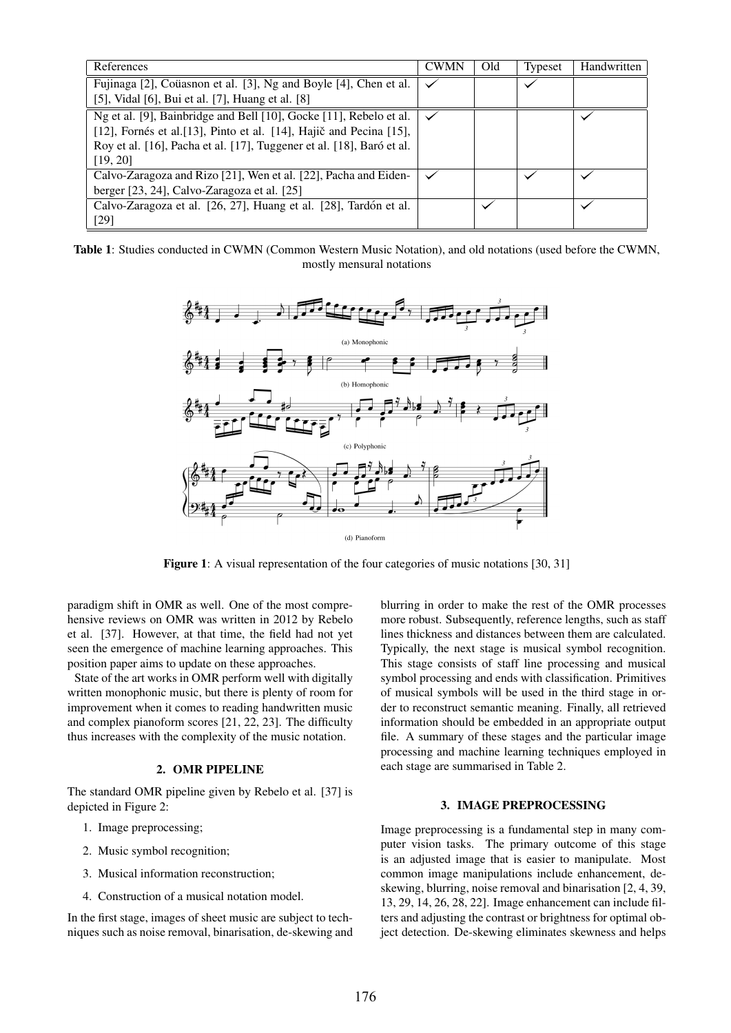| References                                                            | <b>CWMN</b> | Old | Typeset | <b>Handwritten</b> |
|-----------------------------------------------------------------------|-------------|-----|---------|--------------------|
| Fujinaga [2], Coüasnon et al. [3], Ng and Boyle [4], Chen et al.      |             |     |         |                    |
| [5], Vidal [6], Bui et al. [7], Huang et al. [8]                      |             |     |         |                    |
| Ng et al. [9], Bainbridge and Bell [10], Gocke [11], Rebelo et al.    |             |     |         |                    |
| [12], Fornés et al. [13], Pinto et al. [14], Hajič and Pecina [15],   |             |     |         |                    |
| Roy et al. [16], Pacha et al. [17], Tuggener et al. [18], Baró et al. |             |     |         |                    |
| [19, 20]                                                              |             |     |         |                    |
| Calvo-Zaragoza and Rizo [21], Wen et al. [22], Pacha and Eiden-       |             |     |         |                    |
| berger [23, 24], Calvo-Zaragoza et al. [25]                           |             |     |         |                    |
| Calvo-Zaragoza et al. [26, 27], Huang et al. [28], Tardón et al.      |             |     |         |                    |
| $[29]$                                                                |             |     |         |                    |

| Table 1: Studies conducted in CWMN (Common Western Music Notation), and old notations (used before the CWMN, |  |
|--------------------------------------------------------------------------------------------------------------|--|
| mostly mensural notations                                                                                    |  |



Figure 1: A visual representation of the four categories of music notations [30, 31]

paradigm shift in OMR as well. One of the most comprehensive reviews on OMR was written in 2012 by Rebelo et al. [37]. However, at that time, the field had not yet seen the emergence of machine learning approaches. This position paper aims to update on these approaches.

State of the art works in OMR perform well with digitally written monophonic music, but there is plenty of room for improvement when it comes to reading handwritten music and complex pianoform scores [21, 22, 23]. The difficulty thus increases with the complexity of the music notation.

## 2. OMR PIPELINE

The standard OMR pipeline given by Rebelo et al. [37] is depicted in Figure 2:

- 1. Image preprocessing;
- 2. Music symbol recognition;
- 3. Musical information reconstruction;
- 4. Construction of a musical notation model.

In the first stage, images of sheet music are subject to techniques such as noise removal, binarisation, de-skewing and blurring in order to make the rest of the OMR processes more robust. Subsequently, reference lengths, such as staff lines thickness and distances between them are calculated. Typically, the next stage is musical symbol recognition. This stage consists of staff line processing and musical symbol processing and ends with classification. Primitives of musical symbols will be used in the third stage in order to reconstruct semantic meaning. Finally, all retrieved information should be embedded in an appropriate output file. A summary of these stages and the particular image processing and machine learning techniques employed in each stage are summarised in Table 2.

## 3. IMAGE PREPROCESSING

Image preprocessing is a fundamental step in many computer vision tasks. The primary outcome of this stage is an adjusted image that is easier to manipulate. Most common image manipulations include enhancement, deskewing, blurring, noise removal and binarisation [2, 4, 39, 13, 29, 14, 26, 28, 22]. Image enhancement can include filters and adjusting the contrast or brightness for optimal object detection. De-skewing eliminates skewness and helps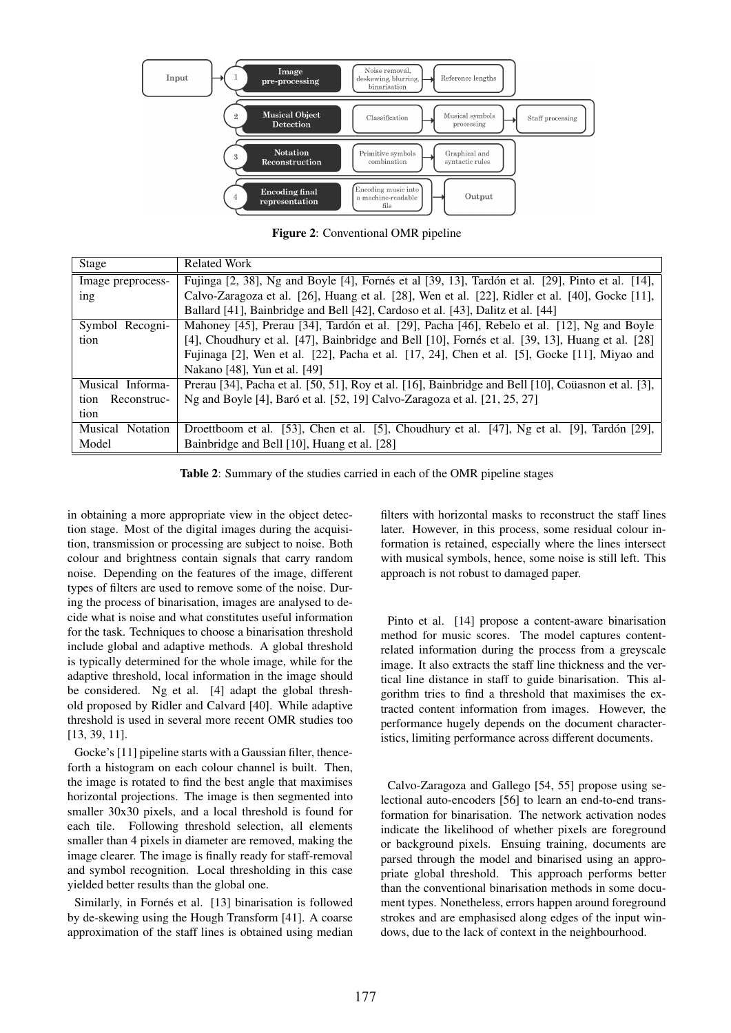

Figure 2: Conventional OMR pipeline

| Stage               | <b>Related Work</b>                                                                                 |
|---------------------|-----------------------------------------------------------------------------------------------------|
| Image preprocess-   | Fujinga [2, 38], Ng and Boyle [4], Fornés et al [39, 13], Tardón et al. [29], Pinto et al. [14],    |
| ing                 | Calvo-Zaragoza et al. [26], Huang et al. [28], Wen et al. [22], Ridler et al. [40], Gocke [11],     |
|                     | Ballard [41], Bainbridge and Bell [42], Cardoso et al. [43], Dalitz et al. [44]                     |
| Symbol Recogni-     | Mahoney [45], Prerau [34], Tardón et al. [29], Pacha [46], Rebelo et al. [12], Ng and Boyle         |
| tion                | [4], Choudhury et al. [47], Bainbridge and Bell [10], Fornés et al. [39, 13], Huang et al. [28]     |
|                     | Fujinaga [2], Wen et al. [22], Pacha et al. [17, 24], Chen et al. [5], Gocke [11], Miyao and        |
|                     | Nakano [48], Yun et al. [49]                                                                        |
| Musical Informa-    | Prerau [34], Pacha et al. [50, 51], Roy et al. [16], Bainbridge and Bell [10], Coüasnon et al. [3], |
| Reconstruc-<br>tion | Ng and Boyle [4], Baró et al. [52, 19] Calvo-Zaragoza et al. [21, 25, 27]                           |
| tion                |                                                                                                     |
| Musical Notation    | Droettboom et al. [53], Chen et al. [5], Choudhury et al. [47], Ng et al. [9], Tardón [29],         |
| Model               | Bainbridge and Bell [10], Huang et al. [28]                                                         |

Table 2: Summary of the studies carried in each of the OMR pipeline stages

in obtaining a more appropriate view in the object detection stage. Most of the digital images during the acquisition, transmission or processing are subject to noise. Both colour and brightness contain signals that carry random noise. Depending on the features of the image, different types of filters are used to remove some of the noise. During the process of binarisation, images are analysed to decide what is noise and what constitutes useful information for the task. Techniques to choose a binarisation threshold include global and adaptive methods. A global threshold is typically determined for the whole image, while for the adaptive threshold, local information in the image should be considered. Ng et al. [4] adapt the global threshold proposed by Ridler and Calvard [40]. While adaptive threshold is used in several more recent OMR studies too [13, 39, 11].

Gocke's [11] pipeline starts with a Gaussian filter, thenceforth a histogram on each colour channel is built. Then, the image is rotated to find the best angle that maximises horizontal projections. The image is then segmented into smaller 30x30 pixels, and a local threshold is found for each tile. Following threshold selection, all elements smaller than 4 pixels in diameter are removed, making the image clearer. The image is finally ready for staff-removal and symbol recognition. Local thresholding in this case yielded better results than the global one.

Similarly, in Fornés et al. [13] binarisation is followed by de-skewing using the Hough Transform [41]. A coarse approximation of the staff lines is obtained using median filters with horizontal masks to reconstruct the staff lines later. However, in this process, some residual colour information is retained, especially where the lines intersect with musical symbols, hence, some noise is still left. This approach is not robust to damaged paper.

Pinto et al. [14] propose a content-aware binarisation method for music scores. The model captures contentrelated information during the process from a greyscale image. It also extracts the staff line thickness and the vertical line distance in staff to guide binarisation. This algorithm tries to find a threshold that maximises the extracted content information from images. However, the performance hugely depends on the document characteristics, limiting performance across different documents.

Calvo-Zaragoza and Gallego [54, 55] propose using selectional auto-encoders [56] to learn an end-to-end transformation for binarisation. The network activation nodes indicate the likelihood of whether pixels are foreground or background pixels. Ensuing training, documents are parsed through the model and binarised using an appropriate global threshold. This approach performs better than the conventional binarisation methods in some document types. Nonetheless, errors happen around foreground strokes and are emphasised along edges of the input windows, due to the lack of context in the neighbourhood.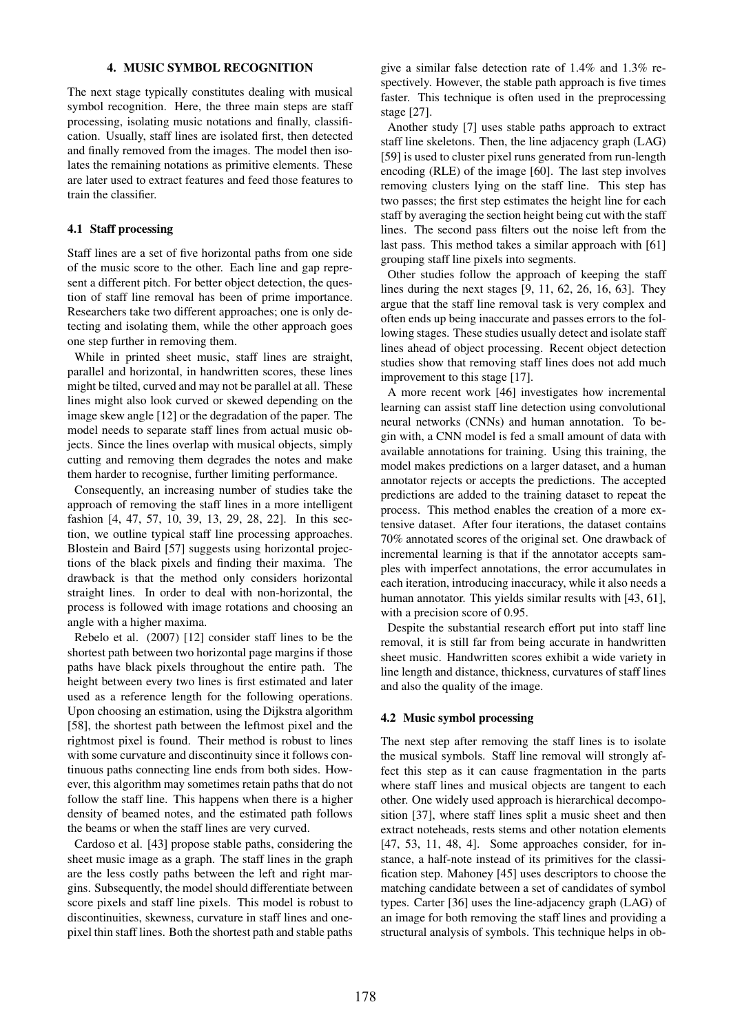## 4. MUSIC SYMBOL RECOGNITION

The next stage typically constitutes dealing with musical symbol recognition. Here, the three main steps are staff processing, isolating music notations and finally, classification. Usually, staff lines are isolated first, then detected and finally removed from the images. The model then isolates the remaining notations as primitive elements. These are later used to extract features and feed those features to train the classifier.

## 4.1 Staff processing

Staff lines are a set of five horizontal paths from one side of the music score to the other. Each line and gap represent a different pitch. For better object detection, the question of staff line removal has been of prime importance. Researchers take two different approaches; one is only detecting and isolating them, while the other approach goes one step further in removing them.

While in printed sheet music, staff lines are straight, parallel and horizontal, in handwritten scores, these lines might be tilted, curved and may not be parallel at all. These lines might also look curved or skewed depending on the image skew angle [12] or the degradation of the paper. The model needs to separate staff lines from actual music objects. Since the lines overlap with musical objects, simply cutting and removing them degrades the notes and make them harder to recognise, further limiting performance.

Consequently, an increasing number of studies take the approach of removing the staff lines in a more intelligent fashion [4, 47, 57, 10, 39, 13, 29, 28, 22]. In this section, we outline typical staff line processing approaches. Blostein and Baird [57] suggests using horizontal projections of the black pixels and finding their maxima. The drawback is that the method only considers horizontal straight lines. In order to deal with non-horizontal, the process is followed with image rotations and choosing an angle with a higher maxima.

Rebelo et al. (2007) [12] consider staff lines to be the shortest path between two horizontal page margins if those paths have black pixels throughout the entire path. The height between every two lines is first estimated and later used as a reference length for the following operations. Upon choosing an estimation, using the Dijkstra algorithm [58], the shortest path between the leftmost pixel and the rightmost pixel is found. Their method is robust to lines with some curvature and discontinuity since it follows continuous paths connecting line ends from both sides. However, this algorithm may sometimes retain paths that do not follow the staff line. This happens when there is a higher density of beamed notes, and the estimated path follows the beams or when the staff lines are very curved.

Cardoso et al. [43] propose stable paths, considering the sheet music image as a graph. The staff lines in the graph are the less costly paths between the left and right margins. Subsequently, the model should differentiate between score pixels and staff line pixels. This model is robust to discontinuities, skewness, curvature in staff lines and onepixel thin staff lines. Both the shortest path and stable paths give a similar false detection rate of 1.4% and 1.3% respectively. However, the stable path approach is five times faster. This technique is often used in the preprocessing stage [27].

Another study [7] uses stable paths approach to extract staff line skeletons. Then, the line adjacency graph (LAG) [59] is used to cluster pixel runs generated from run-length encoding (RLE) of the image [60]. The last step involves removing clusters lying on the staff line. This step has two passes; the first step estimates the height line for each staff by averaging the section height being cut with the staff lines. The second pass filters out the noise left from the last pass. This method takes a similar approach with [61] grouping staff line pixels into segments.

Other studies follow the approach of keeping the staff lines during the next stages [9, 11, 62, 26, 16, 63]. They argue that the staff line removal task is very complex and often ends up being inaccurate and passes errors to the following stages. These studies usually detect and isolate staff lines ahead of object processing. Recent object detection studies show that removing staff lines does not add much improvement to this stage [17].

A more recent work [46] investigates how incremental learning can assist staff line detection using convolutional neural networks (CNNs) and human annotation. To begin with, a CNN model is fed a small amount of data with available annotations for training. Using this training, the model makes predictions on a larger dataset, and a human annotator rejects or accepts the predictions. The accepted predictions are added to the training dataset to repeat the process. This method enables the creation of a more extensive dataset. After four iterations, the dataset contains 70% annotated scores of the original set. One drawback of incremental learning is that if the annotator accepts samples with imperfect annotations, the error accumulates in each iteration, introducing inaccuracy, while it also needs a human annotator. This yields similar results with [43, 61], with a precision score of 0.95.

Despite the substantial research effort put into staff line removal, it is still far from being accurate in handwritten sheet music. Handwritten scores exhibit a wide variety in line length and distance, thickness, curvatures of staff lines and also the quality of the image.

## 4.2 Music symbol processing

The next step after removing the staff lines is to isolate the musical symbols. Staff line removal will strongly affect this step as it can cause fragmentation in the parts where staff lines and musical objects are tangent to each other. One widely used approach is hierarchical decomposition [37], where staff lines split a music sheet and then extract noteheads, rests stems and other notation elements [47, 53, 11, 48, 4]. Some approaches consider, for instance, a half-note instead of its primitives for the classification step. Mahoney [45] uses descriptors to choose the matching candidate between a set of candidates of symbol types. Carter [36] uses the line-adjacency graph (LAG) of an image for both removing the staff lines and providing a structural analysis of symbols. This technique helps in ob-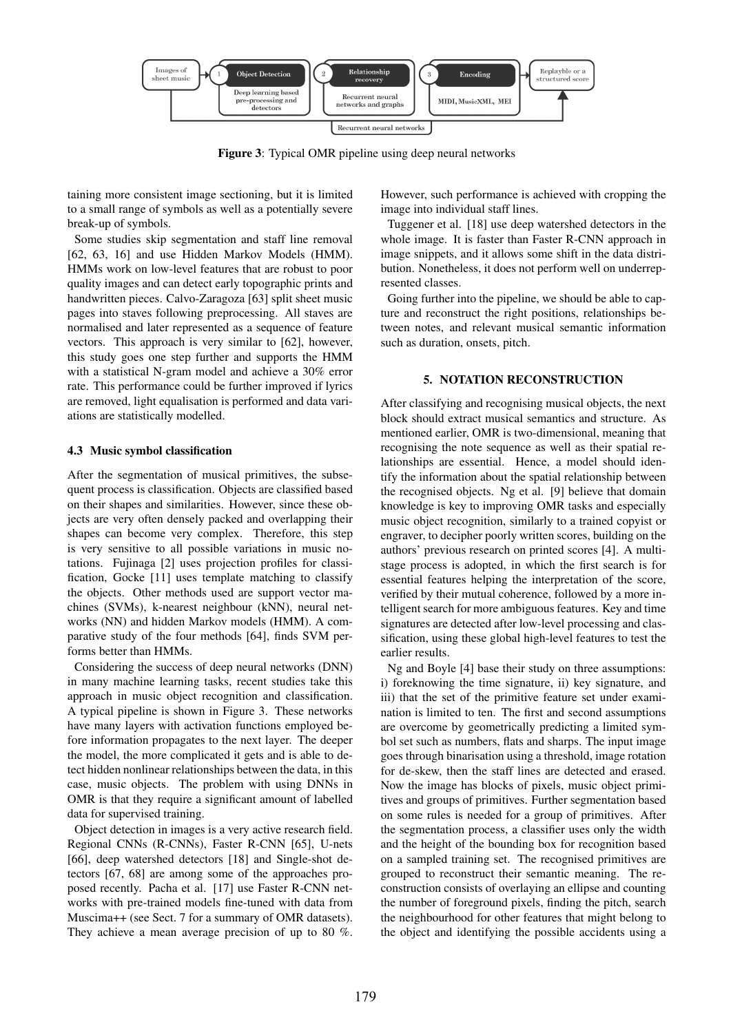

Figure 3: Typical OMR pipeline using deep neural networks

taining more consistent image sectioning, but it is limited to a small range of symbols as well as a potentially severe break-up of symbols.

Some studies skip segmentation and staff line removal [62, 63, 16] and use Hidden Markov Models (HMM). HMMs work on low-level features that are robust to poor quality images and can detect early topographic prints and handwritten pieces. Calvo-Zaragoza [63] split sheet music pages into staves following preprocessing. All staves are normalised and later represented as a sequence of feature vectors. This approach is very similar to [62], however, this study goes one step further and supports the HMM with a statistical N-gram model and achieve a 30% error rate. This performance could be further improved if lyrics are removed, light equalisation is performed and data variations are statistically modelled.

## 4.3 Music symbol classification

After the segmentation of musical primitives, the subsequent process is classification. Objects are classified based on their shapes and similarities. However, since these objects are very often densely packed and overlapping their shapes can become very complex. Therefore, this step is very sensitive to all possible variations in music notations. Fujinaga [2] uses projection profiles for classification, Gocke [11] uses template matching to classify the objects. Other methods used are support vector machines (SVMs), k-nearest neighbour (kNN), neural networks (NN) and hidden Markov models (HMM). A comparative study of the four methods [64], finds SVM performs better than HMMs.

Considering the success of deep neural networks (DNN) in many machine learning tasks, recent studies take this approach in music object recognition and classification. A typical pipeline is shown in Figure 3. These networks have many layers with activation functions employed before information propagates to the next layer. The deeper the model, the more complicated it gets and is able to detect hidden nonlinear relationships between the data, in this case, music objects. The problem with using DNNs in OMR is that they require a significant amount of labelled data for supervised training.

Object detection in images is a very active research field. Regional CNNs (R-CNNs), Faster R-CNN [65], U-nets [66], deep watershed detectors [18] and Single-shot detectors [67, 68] are among some of the approaches proposed recently. Pacha et al. [17] use Faster R-CNN networks with pre-trained models fine-tuned with data from Muscima++ (see Sect. 7 for a summary of OMR datasets). They achieve a mean average precision of up to 80 %. However, such performance is achieved with cropping the image into individual staff lines.

Tuggener et al. [18] use deep watershed detectors in the whole image. It is faster than Faster R-CNN approach in image snippets, and it allows some shift in the data distribution. Nonetheless, it does not perform well on underrepresented classes.

Going further into the pipeline, we should be able to capture and reconstruct the right positions, relationships between notes, and relevant musical semantic information such as duration, onsets, pitch.

## 5. NOTATION RECONSTRUCTION

After classifying and recognising musical objects, the next block should extract musical semantics and structure. As mentioned earlier, OMR is two-dimensional, meaning that recognising the note sequence as well as their spatial relationships are essential. Hence, a model should identify the information about the spatial relationship between the recognised objects. Ng et al. [9] believe that domain knowledge is key to improving OMR tasks and especially music object recognition, similarly to a trained copyist or engraver, to decipher poorly written scores, building on the authors' previous research on printed scores [4]. A multistage process is adopted, in which the first search is for essential features helping the interpretation of the score, verified by their mutual coherence, followed by a more intelligent search for more ambiguous features. Key and time signatures are detected after low-level processing and classification, using these global high-level features to test the earlier results.

Ng and Boyle [4] base their study on three assumptions: i) foreknowing the time signature, ii) key signature, and iii) that the set of the primitive feature set under examination is limited to ten. The first and second assumptions are overcome by geometrically predicting a limited symbol set such as numbers, flats and sharps. The input image goes through binarisation using a threshold, image rotation for de-skew, then the staff lines are detected and erased. Now the image has blocks of pixels, music object primitives and groups of primitives. Further segmentation based on some rules is needed for a group of primitives. After the segmentation process, a classifier uses only the width and the height of the bounding box for recognition based on a sampled training set. The recognised primitives are grouped to reconstruct their semantic meaning. The reconstruction consists of overlaying an ellipse and counting the number of foreground pixels, finding the pitch, search the neighbourhood for other features that might belong to the object and identifying the possible accidents using a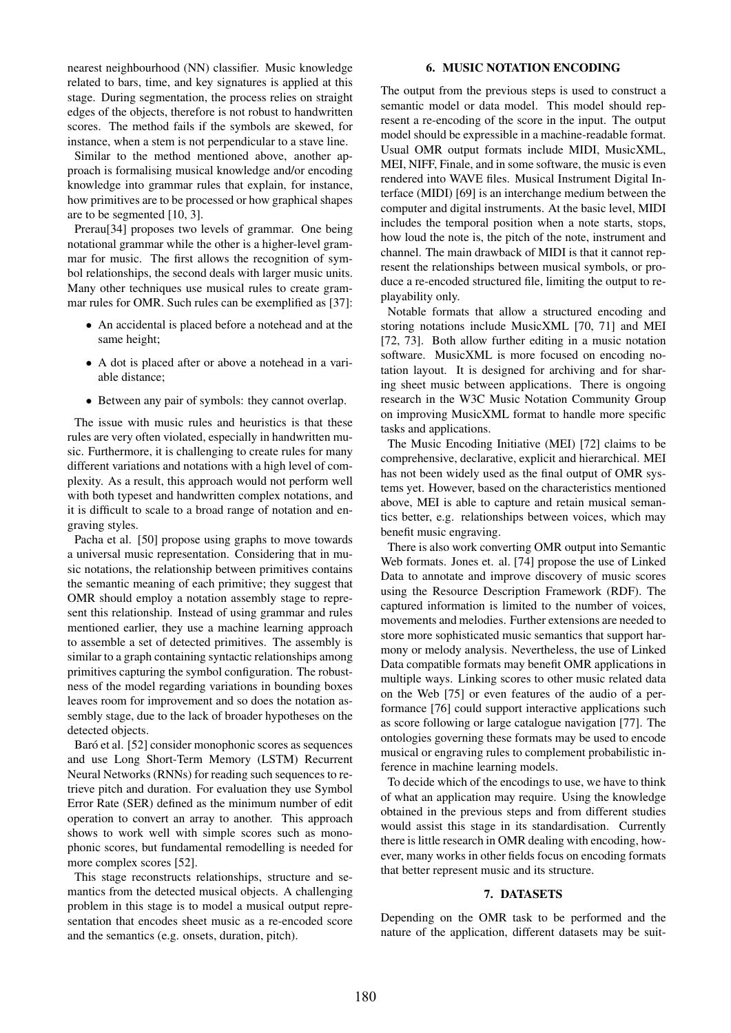nearest neighbourhood (NN) classifier. Music knowledge related to bars, time, and key signatures is applied at this stage. During segmentation, the process relies on straight edges of the objects, therefore is not robust to handwritten scores. The method fails if the symbols are skewed, for instance, when a stem is not perpendicular to a stave line.

Similar to the method mentioned above, another approach is formalising musical knowledge and/or encoding knowledge into grammar rules that explain, for instance, how primitives are to be processed or how graphical shapes are to be segmented [10, 3].

Prerau[34] proposes two levels of grammar. One being notational grammar while the other is a higher-level grammar for music. The first allows the recognition of symbol relationships, the second deals with larger music units. Many other techniques use musical rules to create grammar rules for OMR. Such rules can be exemplified as [37]:

- An accidental is placed before a notehead and at the same height;
- A dot is placed after or above a notehead in a variable distance;
- Between any pair of symbols: they cannot overlap.

The issue with music rules and heuristics is that these rules are very often violated, especially in handwritten music. Furthermore, it is challenging to create rules for many different variations and notations with a high level of complexity. As a result, this approach would not perform well with both typeset and handwritten complex notations, and it is difficult to scale to a broad range of notation and engraving styles.

Pacha et al. [50] propose using graphs to move towards a universal music representation. Considering that in music notations, the relationship between primitives contains the semantic meaning of each primitive; they suggest that OMR should employ a notation assembly stage to represent this relationship. Instead of using grammar and rules mentioned earlier, they use a machine learning approach to assemble a set of detected primitives. The assembly is similar to a graph containing syntactic relationships among primitives capturing the symbol configuration. The robustness of the model regarding variations in bounding boxes leaves room for improvement and so does the notation assembly stage, due to the lack of broader hypotheses on the detected objects.

Baró et al. [52] consider monophonic scores as sequences and use Long Short-Term Memory (LSTM) Recurrent Neural Networks (RNNs) for reading such sequences to retrieve pitch and duration. For evaluation they use Symbol Error Rate (SER) defined as the minimum number of edit operation to convert an array to another. This approach shows to work well with simple scores such as monophonic scores, but fundamental remodelling is needed for more complex scores [52].

This stage reconstructs relationships, structure and semantics from the detected musical objects. A challenging problem in this stage is to model a musical output representation that encodes sheet music as a re-encoded score and the semantics (e.g. onsets, duration, pitch).

## 6. MUSIC NOTATION ENCODING

The output from the previous steps is used to construct a semantic model or data model. This model should represent a re-encoding of the score in the input. The output model should be expressible in a machine-readable format. Usual OMR output formats include MIDI, MusicXML, MEI, NIFF, Finale, and in some software, the music is even rendered into WAVE files. Musical Instrument Digital Interface (MIDI) [69] is an interchange medium between the computer and digital instruments. At the basic level, MIDI includes the temporal position when a note starts, stops, how loud the note is, the pitch of the note, instrument and channel. The main drawback of MIDI is that it cannot represent the relationships between musical symbols, or produce a re-encoded structured file, limiting the output to replayability only.

Notable formats that allow a structured encoding and storing notations include MusicXML [70, 71] and MEI [72, 73]. Both allow further editing in a music notation software. MusicXML is more focused on encoding notation layout. It is designed for archiving and for sharing sheet music between applications. There is ongoing research in the W3C Music Notation Community Group on improving MusicXML format to handle more specific tasks and applications.

The Music Encoding Initiative (MEI) [72] claims to be comprehensive, declarative, explicit and hierarchical. MEI has not been widely used as the final output of OMR systems yet. However, based on the characteristics mentioned above, MEI is able to capture and retain musical semantics better, e.g. relationships between voices, which may benefit music engraving.

There is also work converting OMR output into Semantic Web formats. Jones et. al. [74] propose the use of Linked Data to annotate and improve discovery of music scores using the Resource Description Framework (RDF). The captured information is limited to the number of voices, movements and melodies. Further extensions are needed to store more sophisticated music semantics that support harmony or melody analysis. Nevertheless, the use of Linked Data compatible formats may benefit OMR applications in multiple ways. Linking scores to other music related data on the Web [75] or even features of the audio of a performance [76] could support interactive applications such as score following or large catalogue navigation [77]. The ontologies governing these formats may be used to encode musical or engraving rules to complement probabilistic inference in machine learning models.

To decide which of the encodings to use, we have to think of what an application may require. Using the knowledge obtained in the previous steps and from different studies would assist this stage in its standardisation. Currently there is little research in OMR dealing with encoding, however, many works in other fields focus on encoding formats that better represent music and its structure.

#### 7. DATASETS

Depending on the OMR task to be performed and the nature of the application, different datasets may be suit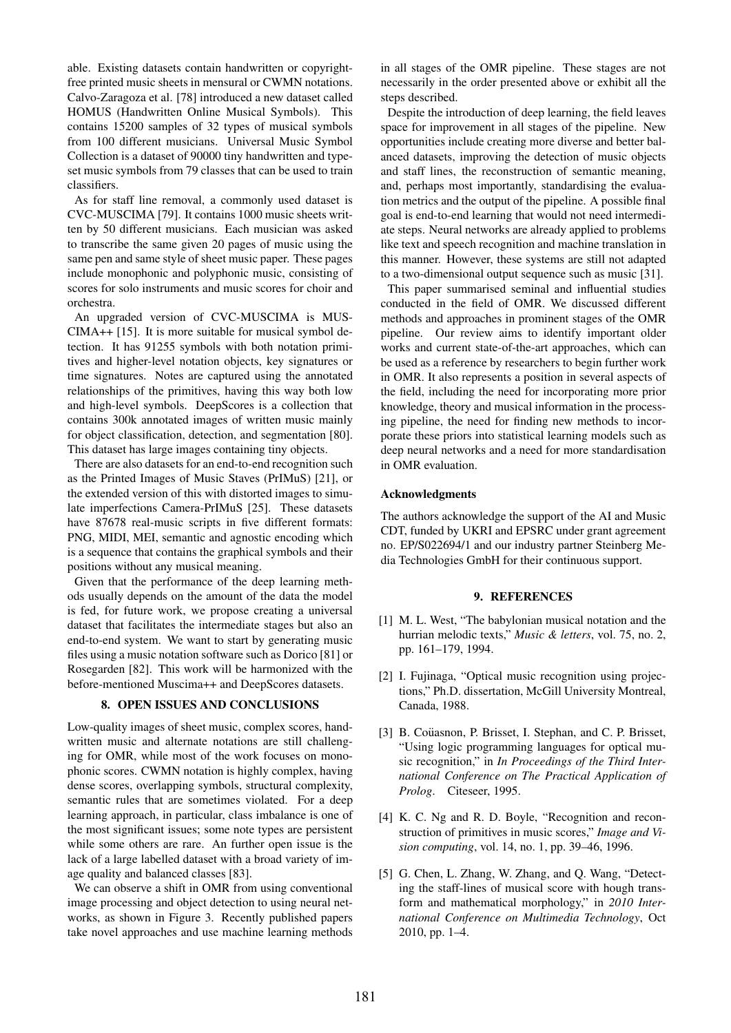able. Existing datasets contain handwritten or copyrightfree printed music sheets in mensural or CWMN notations. Calvo-Zaragoza et al. [78] introduced a new dataset called HOMUS (Handwritten Online Musical Symbols). This contains 15200 samples of 32 types of musical symbols from 100 different musicians. Universal Music Symbol Collection is a dataset of 90000 tiny handwritten and typeset music symbols from 79 classes that can be used to train classifiers.

As for staff line removal, a commonly used dataset is CVC-MUSCIMA [79]. It contains 1000 music sheets written by 50 different musicians. Each musician was asked to transcribe the same given 20 pages of music using the same pen and same style of sheet music paper. These pages include monophonic and polyphonic music, consisting of scores for solo instruments and music scores for choir and orchestra.

An upgraded version of CVC-MUSCIMA is MUS-CIMA++ [15]. It is more suitable for musical symbol detection. It has 91255 symbols with both notation primitives and higher-level notation objects, key signatures or time signatures. Notes are captured using the annotated relationships of the primitives, having this way both low and high-level symbols. DeepScores is a collection that contains 300k annotated images of written music mainly for object classification, detection, and segmentation [80]. This dataset has large images containing tiny objects.

There are also datasets for an end-to-end recognition such as the Printed Images of Music Staves (PrIMuS) [21], or the extended version of this with distorted images to simulate imperfections Camera-PrIMuS [25]. These datasets have 87678 real-music scripts in five different formats: PNG, MIDI, MEI, semantic and agnostic encoding which is a sequence that contains the graphical symbols and their positions without any musical meaning.

Given that the performance of the deep learning methods usually depends on the amount of the data the model is fed, for future work, we propose creating a universal dataset that facilitates the intermediate stages but also an end-to-end system. We want to start by generating music files using a music notation software such as Dorico [81] or Rosegarden [82]. This work will be harmonized with the before-mentioned Muscima++ and DeepScores datasets.

## 8. OPEN ISSUES AND CONCLUSIONS

Low-quality images of sheet music, complex scores, handwritten music and alternate notations are still challenging for OMR, while most of the work focuses on monophonic scores. CWMN notation is highly complex, having dense scores, overlapping symbols, structural complexity, semantic rules that are sometimes violated. For a deep learning approach, in particular, class imbalance is one of the most significant issues; some note types are persistent while some others are rare. An further open issue is the lack of a large labelled dataset with a broad variety of image quality and balanced classes [83].

We can observe a shift in OMR from using conventional image processing and object detection to using neural networks, as shown in Figure 3. Recently published papers take novel approaches and use machine learning methods in all stages of the OMR pipeline. These stages are not necessarily in the order presented above or exhibit all the steps described.

Despite the introduction of deep learning, the field leaves space for improvement in all stages of the pipeline. New opportunities include creating more diverse and better balanced datasets, improving the detection of music objects and staff lines, the reconstruction of semantic meaning, and, perhaps most importantly, standardising the evaluation metrics and the output of the pipeline. A possible final goal is end-to-end learning that would not need intermediate steps. Neural networks are already applied to problems like text and speech recognition and machine translation in this manner. However, these systems are still not adapted to a two-dimensional output sequence such as music [31].

This paper summarised seminal and influential studies conducted in the field of OMR. We discussed different methods and approaches in prominent stages of the OMR pipeline. Our review aims to identify important older works and current state-of-the-art approaches, which can be used as a reference by researchers to begin further work in OMR. It also represents a position in several aspects of the field, including the need for incorporating more prior knowledge, theory and musical information in the processing pipeline, the need for finding new methods to incorporate these priors into statistical learning models such as deep neural networks and a need for more standardisation in OMR evaluation.

## Acknowledgments

The authors acknowledge the support of the AI and Music CDT, funded by UKRI and EPSRC under grant agreement no. EP/S022694/1 and our industry partner Steinberg Media Technologies GmbH for their continuous support.

# 9. REFERENCES

- [1] M. L. West, "The babylonian musical notation and the hurrian melodic texts," *Music & letters*, vol. 75, no. 2, pp. 161–179, 1994.
- [2] I. Fujinaga, "Optical music recognition using projections," Ph.D. dissertation, McGill University Montreal, Canada, 1988.
- [3] B. Coüasnon, P. Brisset, I. Stephan, and C. P. Brisset, "Using logic programming languages for optical music recognition," in *In Proceedings of the Third International Conference on The Practical Application of Prolog*. Citeseer, 1995.
- [4] K. C. Ng and R. D. Boyle, "Recognition and reconstruction of primitives in music scores," *Image and Vision computing*, vol. 14, no. 1, pp. 39–46, 1996.
- [5] G. Chen, L. Zhang, W. Zhang, and Q. Wang, "Detecting the staff-lines of musical score with hough transform and mathematical morphology," in *2010 International Conference on Multimedia Technology*, Oct 2010, pp. 1–4.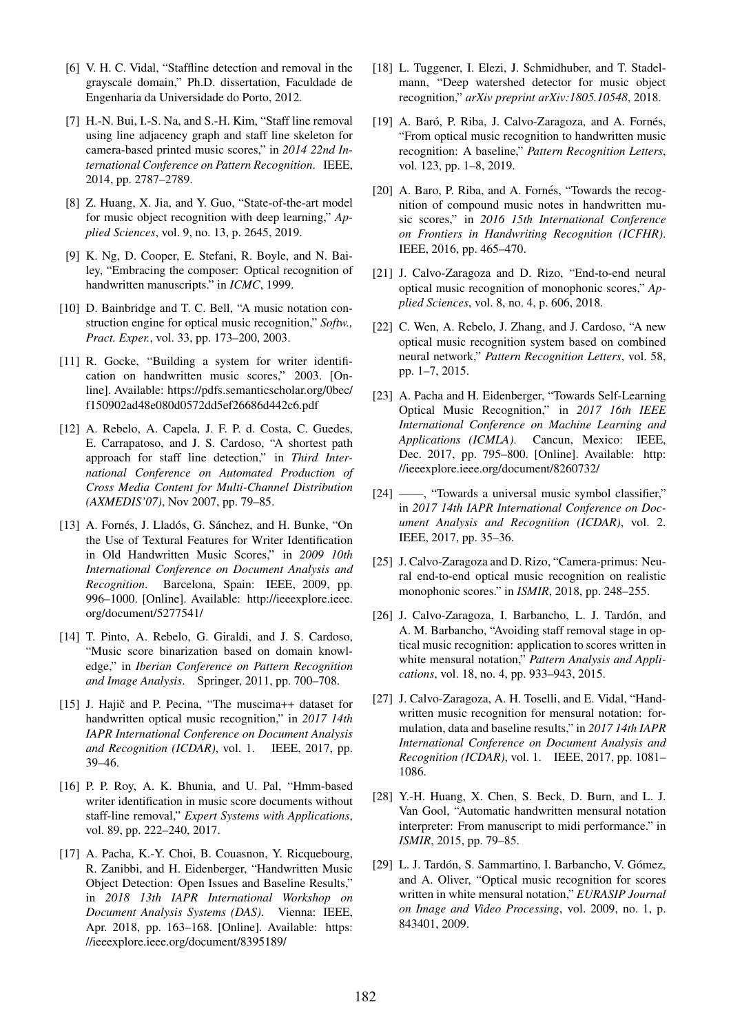- [6] V. H. C. Vidal, "Staffline detection and removal in the grayscale domain," Ph.D. dissertation, Faculdade de Engenharia da Universidade do Porto, 2012.
- [7] H.-N. Bui, I.-S. Na, and S.-H. Kim, "Staff line removal using line adjacency graph and staff line skeleton for camera-based printed music scores," in *2014 22nd International Conference on Pattern Recognition*. IEEE, 2014, pp. 2787–2789.
- [8] Z. Huang, X. Jia, and Y. Guo, "State-of-the-art model for music object recognition with deep learning," *Applied Sciences*, vol. 9, no. 13, p. 2645, 2019.
- [9] K. Ng, D. Cooper, E. Stefani, R. Boyle, and N. Bailey, "Embracing the composer: Optical recognition of handwritten manuscripts." in *ICMC*, 1999.
- [10] D. Bainbridge and T. C. Bell, "A music notation construction engine for optical music recognition," *Softw., Pract. Exper.*, vol. 33, pp. 173–200, 2003.
- [11] R. Gocke, "Building a system for writer identification on handwritten music scores," 2003. [Online]. Available: [https://pdfs.semanticscholar.org/0bec/](https://pdfs.semanticscholar.org/0bec/f150902ad48e080d0572dd5ef26686d442c6.pdf) [f150902ad48e080d0572dd5ef26686d442c6.pdf](https://pdfs.semanticscholar.org/0bec/f150902ad48e080d0572dd5ef26686d442c6.pdf)
- [12] A. Rebelo, A. Capela, J. F. P. d. Costa, C. Guedes, E. Carrapatoso, and J. S. Cardoso, "A shortest path approach for staff line detection," in *Third International Conference on Automated Production of Cross Media Content for Multi-Channel Distribution (AXMEDIS'07)*, Nov 2007, pp. 79–85.
- [13] A. Fornés, J. Lladós, G. Sánchez, and H. Bunke, "On the Use of Textural Features for Writer Identification in Old Handwritten Music Scores," in *2009 10th International Conference on Document Analysis and Recognition*. Barcelona, Spain: IEEE, 2009, pp. 996–1000. [Online]. Available: [http://ieeexplore.ieee.](http://ieeexplore.ieee.org/document/5277541/) [org/document/5277541/](http://ieeexplore.ieee.org/document/5277541/)
- [14] T. Pinto, A. Rebelo, G. Giraldi, and J. S. Cardoso, "Music score binarization based on domain knowledge," in *Iberian Conference on Pattern Recognition and Image Analysis*. Springer, 2011, pp. 700–708.
- [15] J. Hajič and P. Pecina, "The muscima++ dataset for handwritten optical music recognition," in *2017 14th IAPR International Conference on Document Analysis and Recognition (ICDAR)*, vol. 1. IEEE, 2017, pp. 39–46.
- [16] P. P. Roy, A. K. Bhunia, and U. Pal, "Hmm-based writer identification in music score documents without staff-line removal," *Expert Systems with Applications*, vol. 89, pp. 222–240, 2017.
- [17] A. Pacha, K.-Y. Choi, B. Couasnon, Y. Ricquebourg, R. Zanibbi, and H. Eidenberger, "Handwritten Music Object Detection: Open Issues and Baseline Results," in *2018 13th IAPR International Workshop on Document Analysis Systems (DAS)*. Vienna: IEEE, Apr. 2018, pp. 163–168. [Online]. Available: [https:](https://ieeexplore.ieee.org/document/8395189/) [//ieeexplore.ieee.org/document/8395189/](https://ieeexplore.ieee.org/document/8395189/)
- [18] L. Tuggener, I. Elezi, J. Schmidhuber, and T. Stadelmann, "Deep watershed detector for music object recognition," *arXiv preprint arXiv:1805.10548*, 2018.
- [19] A. Baró, P. Riba, J. Calvo-Zaragoza, and A. Fornés, "From optical music recognition to handwritten music recognition: A baseline," *Pattern Recognition Letters*, vol. 123, pp. 1–8, 2019.
- [20] A. Baro, P. Riba, and A. Fornés, "Towards the recognition of compound music notes in handwritten music scores," in *2016 15th International Conference on Frontiers in Handwriting Recognition (ICFHR)*. IEEE, 2016, pp. 465–470.
- [21] J. Calvo-Zaragoza and D. Rizo, "End-to-end neural optical music recognition of monophonic scores," *Applied Sciences*, vol. 8, no. 4, p. 606, 2018.
- [22] C. Wen, A. Rebelo, J. Zhang, and J. Cardoso, "A new optical music recognition system based on combined neural network," *Pattern Recognition Letters*, vol. 58, pp. 1–7, 2015.
- [23] A. Pacha and H. Eidenberger, "Towards Self-Learning Optical Music Recognition," in *2017 16th IEEE International Conference on Machine Learning and Applications (ICMLA)*. Cancun, Mexico: IEEE, Dec. 2017, pp. 795–800. [Online]. Available: [http:](http://ieeexplore.ieee.org/document/8260732/) [//ieeexplore.ieee.org/document/8260732/](http://ieeexplore.ieee.org/document/8260732/)
- [24] ——, "Towards a universal music symbol classifier," in *2017 14th IAPR International Conference on Document Analysis and Recognition (ICDAR)*, vol. 2. IEEE, 2017, pp. 35–36.
- [25] J. Calvo-Zaragoza and D. Rizo, "Camera-primus: Neural end-to-end optical music recognition on realistic monophonic scores." in *ISMIR*, 2018, pp. 248–255.
- [26] J. Calvo-Zaragoza, I. Barbancho, L. J. Tardón, and A. M. Barbancho, "Avoiding staff removal stage in optical music recognition: application to scores written in white mensural notation," *Pattern Analysis and Applications*, vol. 18, no. 4, pp. 933–943, 2015.
- [27] J. Calvo-Zaragoza, A. H. Toselli, and E. Vidal, "Handwritten music recognition for mensural notation: formulation, data and baseline results," in *2017 14th IAPR International Conference on Document Analysis and Recognition (ICDAR)*, vol. 1. IEEE, 2017, pp. 1081– 1086.
- [28] Y.-H. Huang, X. Chen, S. Beck, D. Burn, and L. J. Van Gool, "Automatic handwritten mensural notation interpreter: From manuscript to midi performance." in *ISMIR*, 2015, pp. 79–85.
- [29] L. J. Tardón, S. Sammartino, I. Barbancho, V. Gómez, and A. Oliver, "Optical music recognition for scores written in white mensural notation," *EURASIP Journal on Image and Video Processing*, vol. 2009, no. 1, p. 843401, 2009.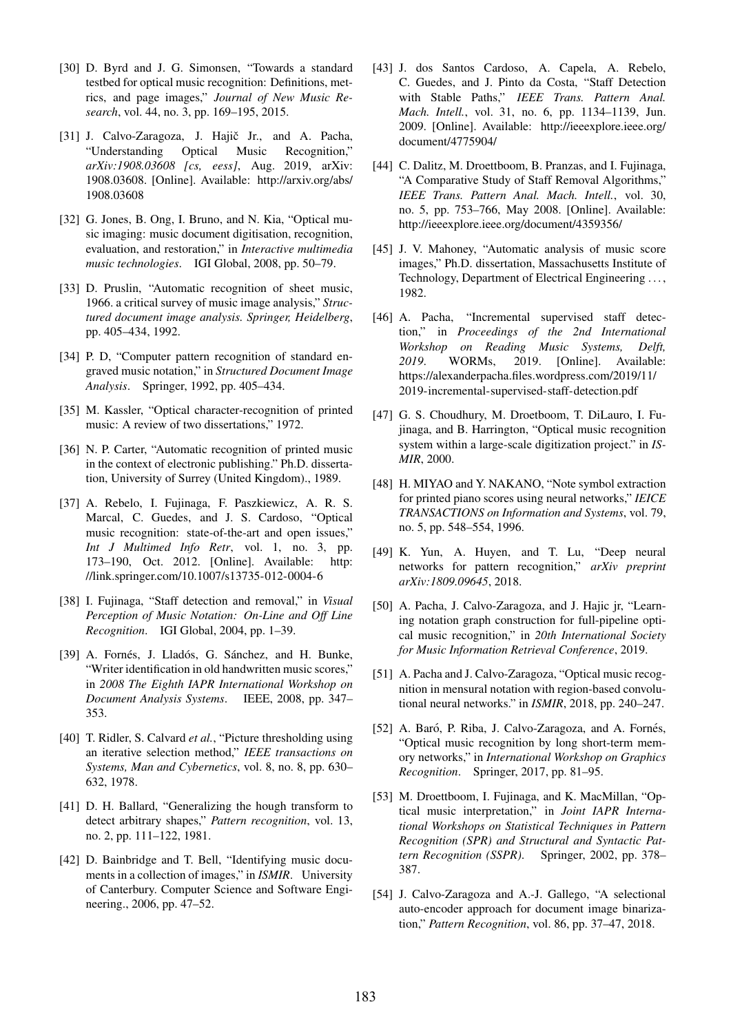- [30] D. Byrd and J. G. Simonsen, "Towards a standard testbed for optical music recognition: Definitions, metrics, and page images," *Journal of New Music Research*, vol. 44, no. 3, pp. 169–195, 2015.
- [31] J. Calvo-Zaragoza, J. Hajič Jr., and A. Pacha, "Understanding Optical Music Recognition," *arXiv:1908.03608 [cs, eess]*, Aug. 2019, arXiv: 1908.03608. [Online]. Available: [http://arxiv.org/abs/](http://arxiv.org/abs/1908.03608) [1908.03608](http://arxiv.org/abs/1908.03608)
- [32] G. Jones, B. Ong, I. Bruno, and N. Kia, "Optical music imaging: music document digitisation, recognition, evaluation, and restoration," in *Interactive multimedia music technologies*. IGI Global, 2008, pp. 50–79.
- [33] D. Pruslin, "Automatic recognition of sheet music, 1966. a critical survey of music image analysis," *Structured document image analysis. Springer, Heidelberg*, pp. 405–434, 1992.
- [34] P. D, "Computer pattern recognition of standard engraved music notation," in *Structured Document Image Analysis*. Springer, 1992, pp. 405–434.
- [35] M. Kassler, "Optical character-recognition of printed music: A review of two dissertations," 1972.
- [36] N. P. Carter, "Automatic recognition of printed music in the context of electronic publishing." Ph.D. dissertation, University of Surrey (United Kingdom)., 1989.
- [37] A. Rebelo, I. Fujinaga, F. Paszkiewicz, A. R. S. Marcal, C. Guedes, and J. S. Cardoso, "Optical music recognition: state-of-the-art and open issues," *Int J Multimed Info Retr*, vol. 1, no. 3, pp. 173–190, Oct. 2012. [Online]. Available: [http:](http://link.springer.com/10.1007/s13735-012-0004-6) [//link.springer.com/10.1007/s13735-012-0004-6](http://link.springer.com/10.1007/s13735-012-0004-6)
- [38] I. Fujinaga, "Staff detection and removal," in *Visual Perception of Music Notation: On-Line and Off Line Recognition*. IGI Global, 2004, pp. 1–39.
- [39] A. Fornés, J. Lladós, G. Sánchez, and H. Bunke, "Writer identification in old handwritten music scores," in *2008 The Eighth IAPR International Workshop on Document Analysis Systems*. IEEE, 2008, pp. 347– 353.
- [40] T. Ridler, S. Calvard *et al.*, "Picture thresholding using an iterative selection method," *IEEE transactions on Systems, Man and Cybernetics*, vol. 8, no. 8, pp. 630– 632, 1978.
- [41] D. H. Ballard, "Generalizing the hough transform to detect arbitrary shapes," *Pattern recognition*, vol. 13, no. 2, pp. 111–122, 1981.
- [42] D. Bainbridge and T. Bell, "Identifying music documents in a collection of images," in *ISMIR*. University of Canterbury. Computer Science and Software Engineering., 2006, pp. 47–52.
- [43] J. dos Santos Cardoso, A. Capela, A. Rebelo, C. Guedes, and J. Pinto da Costa, "Staff Detection with Stable Paths," *IEEE Trans. Pattern Anal. Mach. Intell.*, vol. 31, no. 6, pp. 1134–1139, Jun. 2009. [Online]. Available: [http://ieeexplore.ieee.org/](http://ieeexplore.ieee.org/document/4775904/) [document/4775904/](http://ieeexplore.ieee.org/document/4775904/)
- [44] C. Dalitz, M. Droettboom, B. Pranzas, and I. Fujinaga, "A Comparative Study of Staff Removal Algorithms," *IEEE Trans. Pattern Anal. Mach. Intell.*, vol. 30, no. 5, pp. 753–766, May 2008. [Online]. Available: <http://ieeexplore.ieee.org/document/4359356/>
- [45] J. V. Mahoney, "Automatic analysis of music score images," Ph.D. dissertation, Massachusetts Institute of Technology, Department of Electrical Engineering . . . , 1982.
- [46] A. Pacha, "Incremental supervised staff detection," in *Proceedings of the 2nd International Workshop on Reading Music Systems, Delft, 2019*. WORMs, 2019. [Online]. Available: [https://alexanderpacha.files.wordpress.com/2019/11/](https://alexanderpacha.files.wordpress.com/2019/11/2019-incremental-supervised-staff-detection.pdf) [2019-incremental-supervised-staff-detection.pdf](https://alexanderpacha.files.wordpress.com/2019/11/2019-incremental-supervised-staff-detection.pdf)
- [47] G. S. Choudhury, M. Droetboom, T. DiLauro, I. Fujinaga, and B. Harrington, "Optical music recognition system within a large-scale digitization project." in *IS-MIR*, 2000.
- [48] H. MIYAO and Y. NAKANO, "Note symbol extraction for printed piano scores using neural networks," *IEICE TRANSACTIONS on Information and Systems*, vol. 79, no. 5, pp. 548–554, 1996.
- [49] K. Yun, A. Huyen, and T. Lu, "Deep neural networks for pattern recognition," *arXiv preprint arXiv:1809.09645*, 2018.
- [50] A. Pacha, J. Calvo-Zaragoza, and J. Hajic jr, "Learning notation graph construction for full-pipeline optical music recognition," in *20th International Society for Music Information Retrieval Conference*, 2019.
- [51] A. Pacha and J. Calvo-Zaragoza, "Optical music recognition in mensural notation with region-based convolutional neural networks." in *ISMIR*, 2018, pp. 240–247.
- [52] A. Baró, P. Riba, J. Calvo-Zaragoza, and A. Fornés, "Optical music recognition by long short-term memory networks," in *International Workshop on Graphics Recognition*. Springer, 2017, pp. 81–95.
- [53] M. Droettboom, I. Fujinaga, and K. MacMillan, "Optical music interpretation," in *Joint IAPR International Workshops on Statistical Techniques in Pattern Recognition (SPR) and Structural and Syntactic Pattern Recognition (SSPR)*. Springer, 2002, pp. 378– 387.
- [54] J. Calvo-Zaragoza and A.-J. Gallego, "A selectional auto-encoder approach for document image binarization," *Pattern Recognition*, vol. 86, pp. 37–47, 2018.